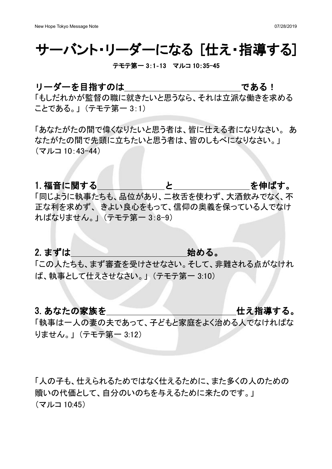## サーバント・リーダーになる [仕え・指導する]

### テモテ第一 3:1-13 マルコ 10:35-45

## リーダーを目指すのは いっしょう である!

「もしだれかが監督の職に就きたいと思うなら、それは立派な働きを求める ことである。」(テモテ第一 3:1)

「あなたがたの間で偉くなりたいと思う者は、皆に仕える者になりなさい。 あ なたがたの間で先頭に立ちたいと思う者は、皆のしもべになりなさい。」  $($ マルコ 10:43-44)

1. 福音に関する しゅうしょう しょうしゃ を伸ばす。

「同じように執事たちも、品位があり、二枚舌を使わず、大酒飲みでなく、不 正な利を求めず、きよい良心をもって、信仰の奥義を保っている人でなけ ればなりません。」 (テモテ第一 3:8-9)

## 2.まずは 始める。

「この人たちも、まず審査を受けさせなさい。そして、非難される点がなけれ ば、執事として仕えさせなさい。」 (テモテ第一 3:10)

## 3. あなたの家族を ちょうしょう しゅうしゃ せえ指導する。

「執事は一人の妻の夫であって、子どもと家庭をよく治める人でなければな りません。」(テモテ第一 3:12)

「人の子も、什えられるためではなく什えるために、また多くの人のための 贖いの代価として、自分のいのちを与えるために来たのです。」  $($ マルコ 10:45)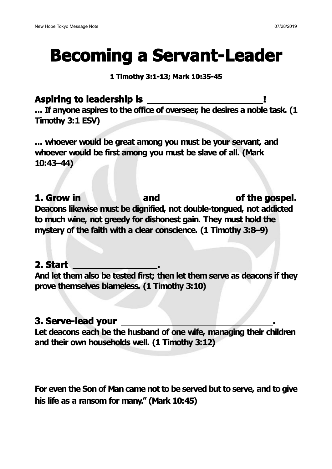# **Becoming a Servant-Leader**

## **1 Timothy 3:1-13;Mark 10:35-45**

**Aspiring to leadership is ! ... If anyone aspires to the office of overseer, he desires a noble task. (1 Timothy 3:1 ESV)**

**... whoever would be great among you must be your servant, and whoever would be first among you must be slave of all. (Mark 10:43–44)**

**1. Grow in and of the gospel. Deacons likewise must be dignified, not double-tongued, not addicted to much wine, not greedy for dishonest gain. They must hold the mystery of the faith with aclear conscience. (1 Timothy 3:8–9)**

## **2. Start .**

**And let them also be tested first; then let them serve as deacons if they prove themselves blameless. (1 Timothy 3:10)**

## **3. Serve-lead your .**

**Let deacons each be the husband of one wife, managing their children and their own households well. (1 Timothy 3:12)**

**For even the Son of Man came notto be served but to serve, and to give his life as a ransom for many." (Mark 10:45)**